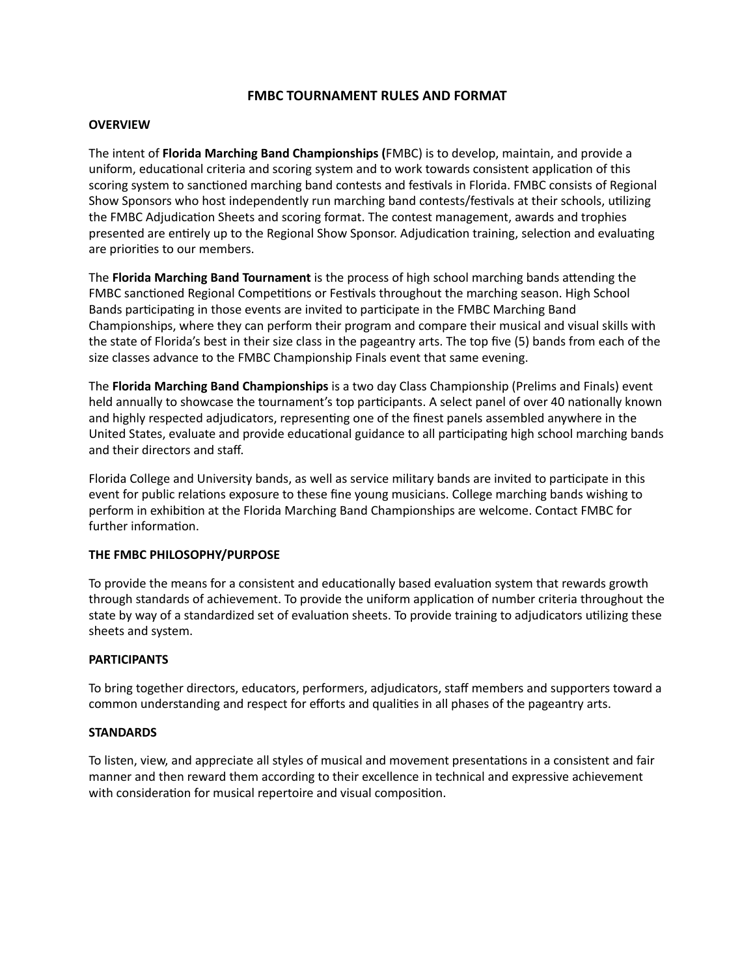# **FMBC TOURNAMENT RULES AND FORMAT**

# **OVERVIEW**

The intent of **Florida Marching Band Championships (**FMBC) is to develop, maintain, and provide a uniform, educational criteria and scoring system and to work towards consistent application of this scoring system to sanctioned marching band contests and festivals in Florida. FMBC consists of Regional Show Sponsors who host independently run marching band contests/festivals at their schools, utilizing the FMBC Adjudication Sheets and scoring format. The contest management, awards and trophies presented are entirely up to the Regional Show Sponsor. Adjudication training, selection and evaluating are priorities to our members.

The **Florida Marching Band Tournament** is the process of high school marching bands attending the FMBC sanctioned Regional Competitions or Festivals throughout the marching season. High School Bands participating in those events are invited to participate in the FMBC Marching Band Championships, where they can perform their program and compare their musical and visual skills with the state of Florida's best in their size class in the pageantry arts. The top five (5) bands from each of the size classes advance to the FMBC Championship Finals event that same evening.

The **Florida Marching Band Championships** is a two day Class Championship (Prelims and Finals) event held annually to showcase the tournament's top participants. A select panel of over 40 nationally known and highly respected adjudicators, representing one of the finest panels assembled anywhere in the United States, evaluate and provide educational guidance to all participating high school marching bands and their directors and staff.

Florida College and University bands, as well as service military bands are invited to participate in this event for public relations exposure to these fine young musicians. College marching bands wishing to perform in exhibition at the Florida Marching Band Championships are welcome. Contact FMBC for further information.

# **THE FMBC PHILOSOPHY/PURPOSE**

To provide the means for a consistent and educationally based evaluation system that rewards growth through standards of achievement. To provide the uniform application of number criteria throughout the state by way of a standardized set of evaluation sheets. To provide training to adjudicators utilizing these sheets and system.

# **PARTICIPANTS**

To bring together directors, educators, performers, adjudicators, staff members and supporters toward a common understanding and respect for efforts and qualities in all phases of the pageantry arts.

# **STANDARDS**

To listen, view, and appreciate all styles of musical and movement presentations in a consistent and fair manner and then reward them according to their excellence in technical and expressive achievement with consideration for musical repertoire and visual composition.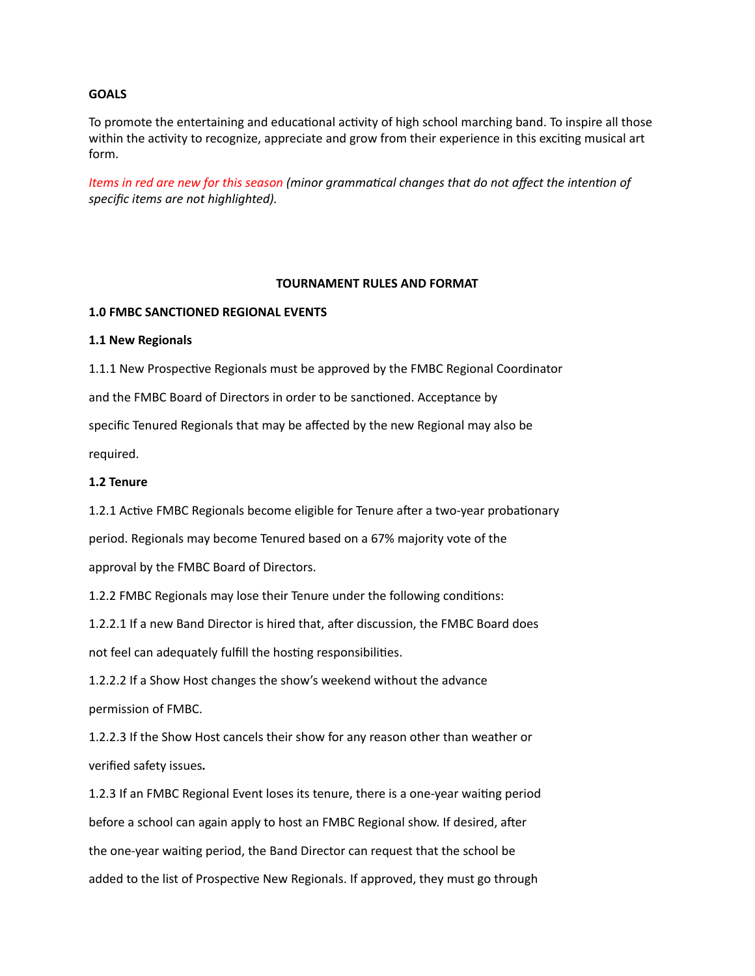## **GOALS**

To promote the entertaining and educational activity of high school marching band. To inspire all those within the activity to recognize, appreciate and grow from their experience in this exciting musical art form.

*Items in red are new for this season (minor grammatical changes that do not affect the intention of specific items are not highlighted).*

### **TOURNAMENT RULES AND FORMAT**

### **1.0 FMBC SANCTIONED REGIONAL EVENTS**

#### **1.1 New Regionals**

1.1.1 New Prospective Regionals must be approved by the FMBC Regional Coordinator and the FMBC Board of Directors in order to be sanctioned. Acceptance by specific Tenured Regionals that may be affected by the new Regional may also be required.

### **1.2 Tenure**

1.2.1 Active FMBC Regionals become eligible for Tenure after a two-year probationary

period. Regionals may become Tenured based on a 67% majority vote of the

approval by the FMBC Board of Directors.

1.2.2 FMBC Regionals may lose their Tenure under the following conditions:

1.2.2.1 If a new Band Director is hired that, after discussion, the FMBC Board does not feel can adequately fulfill the hosting responsibilities.

1.2.2.2 If a Show Host changes the show's weekend without the advance permission of FMBC.

1.2.2.3 If the Show Host cancels their show for any reason other than weather or verified safety issues*.*

1.2.3 If an FMBC Regional Event loses its tenure, there is a one-year waiting period before a school can again apply to host an FMBC Regional show. If desired, after the one-year waiting period, the Band Director can request that the school be added to the list of Prospective New Regionals. If approved, they must go through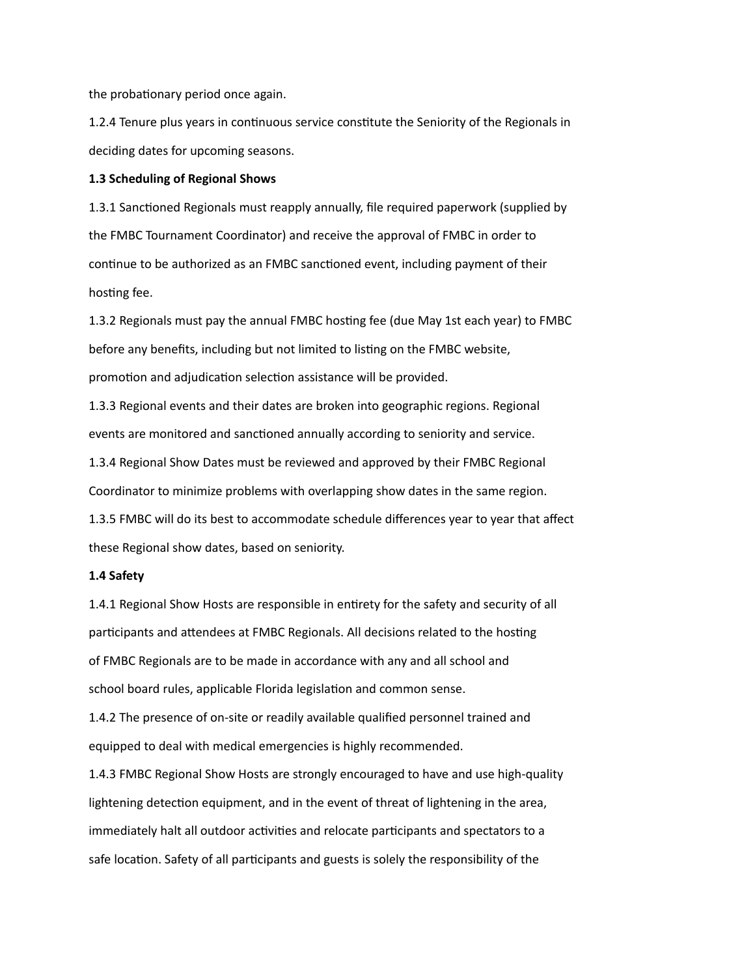the probationary period once again.

1.2.4 Tenure plus years in continuous service constitute the Seniority of the Regionals in deciding dates for upcoming seasons.

#### **1.3 Scheduling of Regional Shows**

1.3.1 Sanctioned Regionals must reapply annually, file required paperwork (supplied by the FMBC Tournament Coordinator) and receive the approval of FMBC in order to continue to be authorized as an FMBC sanctioned event, including payment of their hosting fee.

1.3.2 Regionals must pay the annual FMBC hosting fee (due May 1st each year) to FMBC before any benefits, including but not limited to listing on the FMBC website, promotion and adjudication selection assistance will be provided.

1.3.3 Regional events and their dates are broken into geographic regions. Regional events are monitored and sanctioned annually according to seniority and service. 1.3.4 Regional Show Dates must be reviewed and approved by their FMBC Regional

Coordinator to minimize problems with overlapping show dates in the same region.

1.3.5 FMBC will do its best to accommodate schedule differences year to year that affect

these Regional show dates, based on seniority.

### **1.4 Safety**

1.4.1 Regional Show Hosts are responsible in entirety for the safety and security of all participants and attendees at FMBC Regionals. All decisions related to the hosting of FMBC Regionals are to be made in accordance with any and all school and school board rules, applicable Florida legislation and common sense.

1.4.2 The presence of on-site or readily available qualified personnel trained and equipped to deal with medical emergencies is highly recommended.

1.4.3 FMBC Regional Show Hosts are strongly encouraged to have and use high-quality lightening detection equipment, and in the event of threat of lightening in the area, immediately halt all outdoor activities and relocate participants and spectators to a safe location. Safety of all participants and guests is solely the responsibility of the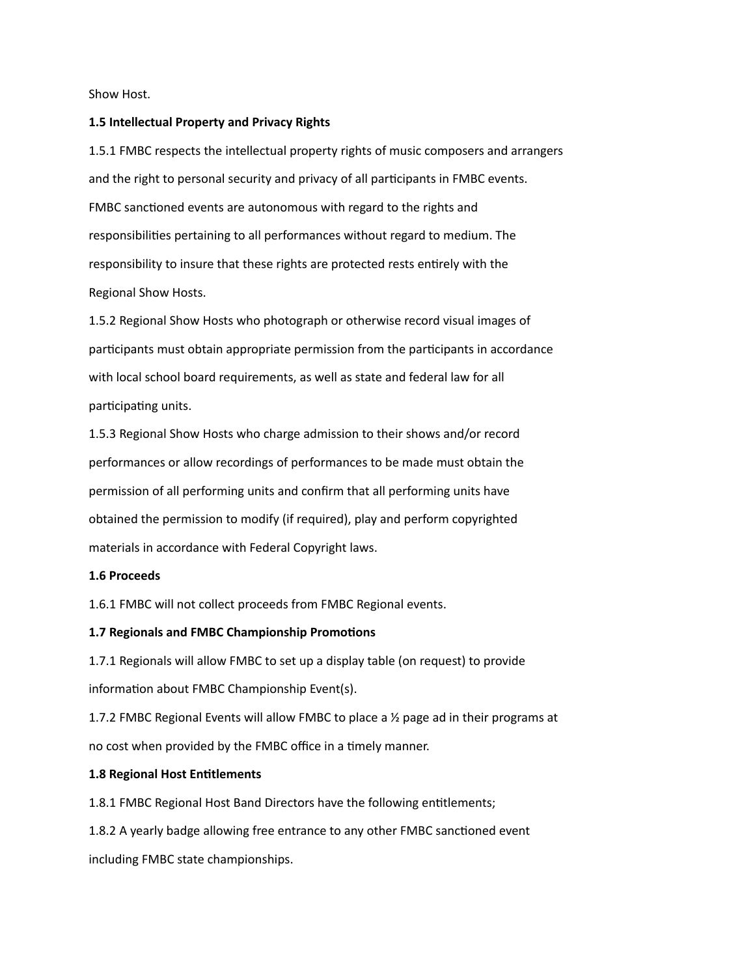Show Host.

### **1.5 Intellectual Property and Privacy Rights**

1.5.1 FMBC respects the intellectual property rights of music composers and arrangers and the right to personal security and privacy of all participants in FMBC events. FMBC sanctioned events are autonomous with regard to the rights and responsibilities pertaining to all performances without regard to medium. The responsibility to insure that these rights are protected rests entirely with the Regional Show Hosts.

1.5.2 Regional Show Hosts who photograph or otherwise record visual images of participants must obtain appropriate permission from the participants in accordance with local school board requirements, as well as state and federal law for all participating units.

1.5.3 Regional Show Hosts who charge admission to their shows and/or record performances or allow recordings of performances to be made must obtain the permission of all performing units and confirm that all performing units have obtained the permission to modify (if required), play and perform copyrighted materials in accordance with Federal Copyright laws.

## **1.6 Proceeds**

1.6.1 FMBC will not collect proceeds from FMBC Regional events.

## **1.7 Regionals and FMBC Championship Promotions**

1.7.1 Regionals will allow FMBC to set up a display table (on request) to provide information about FMBC Championship Event(s).

1.7.2 FMBC Regional Events will allow FMBC to place a ½ page ad in their programs at no cost when provided by the FMBC office in a timely manner.

#### **1.8 Regional Host Entitlements**

1.8.1 FMBC Regional Host Band Directors have the following entitlements;

1.8.2 A yearly badge allowing free entrance to any other FMBC sanctioned event including FMBC state championships.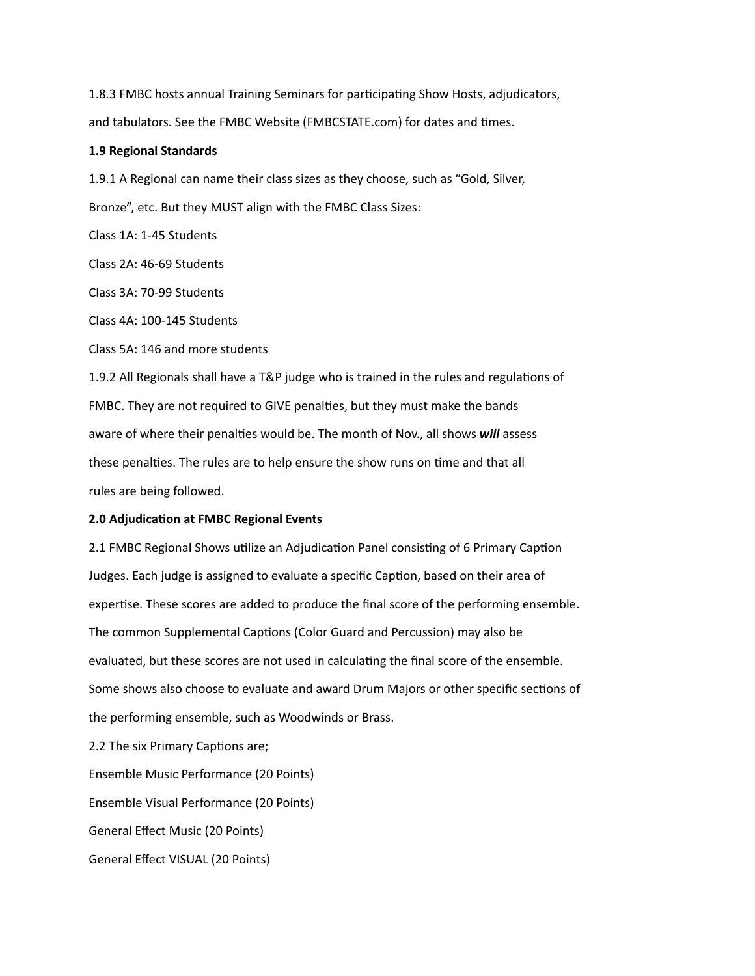1.8.3 FMBC hosts annual Training Seminars for participating Show Hosts, adjudicators, and tabulators. See the FMBC Website (FMBCSTATE.com) for dates and times.

### **1.9 Regional Standards**

1.9.1 A Regional can name their class sizes as they choose, such as "Gold, Silver,

Bronze", etc. But they MUST align with the FMBC Class Sizes:

Class 1A: 1-45 Students

Class 2A: 46-69 Students

Class 3A: 70-99 Students

Class 4A: 100-145 Students

Class 5A: 146 and more students

1.9.2 All Regionals shall have a T&P judge who is trained in the rules and regulations of FMBC. They are not required to GIVE penalties, but they must make the bands aware of where their penalties would be. The month of Nov., all shows *will* assess these penalties. The rules are to help ensure the show runs on time and that all rules are being followed.

## **2.0 Adjudication at FMBC Regional Events**

2.1 FMBC Regional Shows utilize an Adjudication Panel consisting of 6 Primary Caption Judges. Each judge is assigned to evaluate a specific Caption, based on their area of expertise. These scores are added to produce the final score of the performing ensemble. The common Supplemental Captions (Color Guard and Percussion) may also be evaluated, but these scores are not used in calculating the final score of the ensemble. Some shows also choose to evaluate and award Drum Majors or other specific sections of the performing ensemble, such as Woodwinds or Brass.

2.2 The six Primary Captions are;

Ensemble Music Performance (20 Points) Ensemble Visual Performance (20 Points)

General Effect Music (20 Points)

General Effect VISUAL (20 Points)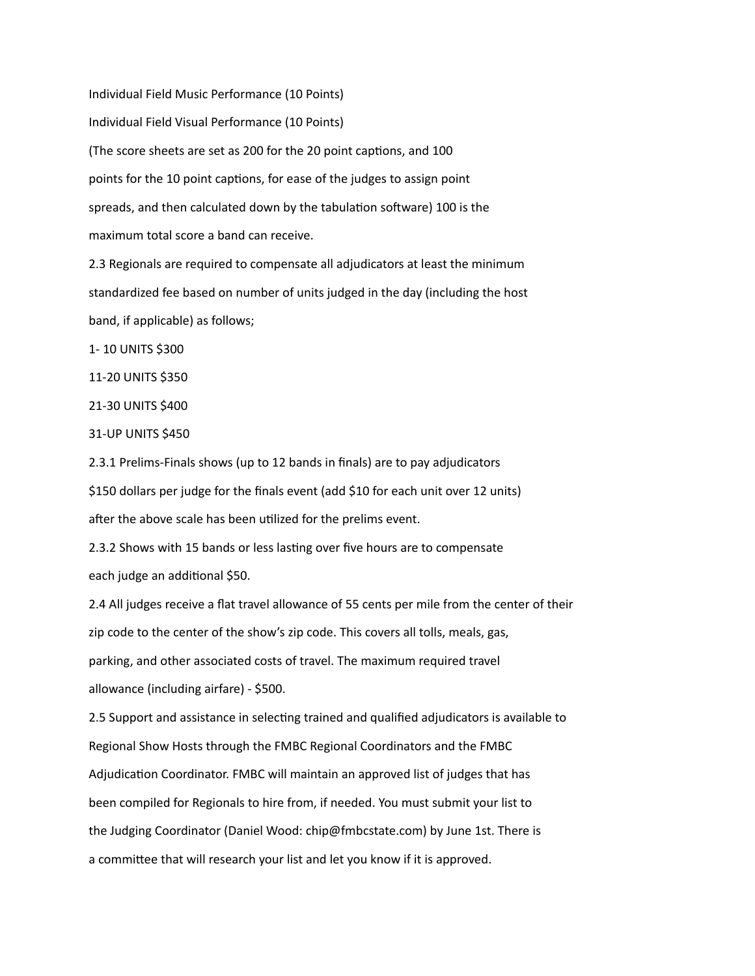Individual Field Music Performance (10 Points) Individual Field Visual Performance (10 Points) (The score sheets are set as 200 for the 20 point captions, and 100 points for the 10 point captions, for ease of the judges to assign point spreads, and then calculated down by the tabulation software) 100 is the maximum total score a band can receive.

2.3 Regionals are required to compensate all adjudicators at least the minimum standardized fee based on number of units judged in the day (including the host band, if applicable) as follows;

1- 10 UNITS \$300

11-20 UNITS \$350

21-30 UNITS \$400

31-UP UNITS \$450

2.3.1 Prelims-Finals shows (up to 12 bands in finals) are to pay adjudicators \$150 dollars per judge for the finals event (add \$10 for each unit over 12 units) after the above scale has been utilized for the prelims event.

2.3.2 Shows with 15 bands or less lasting over five hours are to compensate each judge an additional \$50.

2.4 All judges receive a flat travel allowance of 55 cents per mile from the center of their zip code to the center of the show's zip code. This covers all tolls, meals, gas, parking, and other associated costs of travel. The maximum required travel allowance (including airfare) - \$500.

2.5 Support and assistance in selecting trained and qualified adjudicators is available to Regional Show Hosts through the FMBC Regional Coordinators and the FMBC Adjudication Coordinator. FMBC will maintain an approved list of judges that has been compiled for Regionals to hire from, if needed. You must submit your list to the Judging Coordinator (Daniel Wood: chip@fmbcstate.com) by June 1st. There is a committee that will research your list and let you know if it is approved.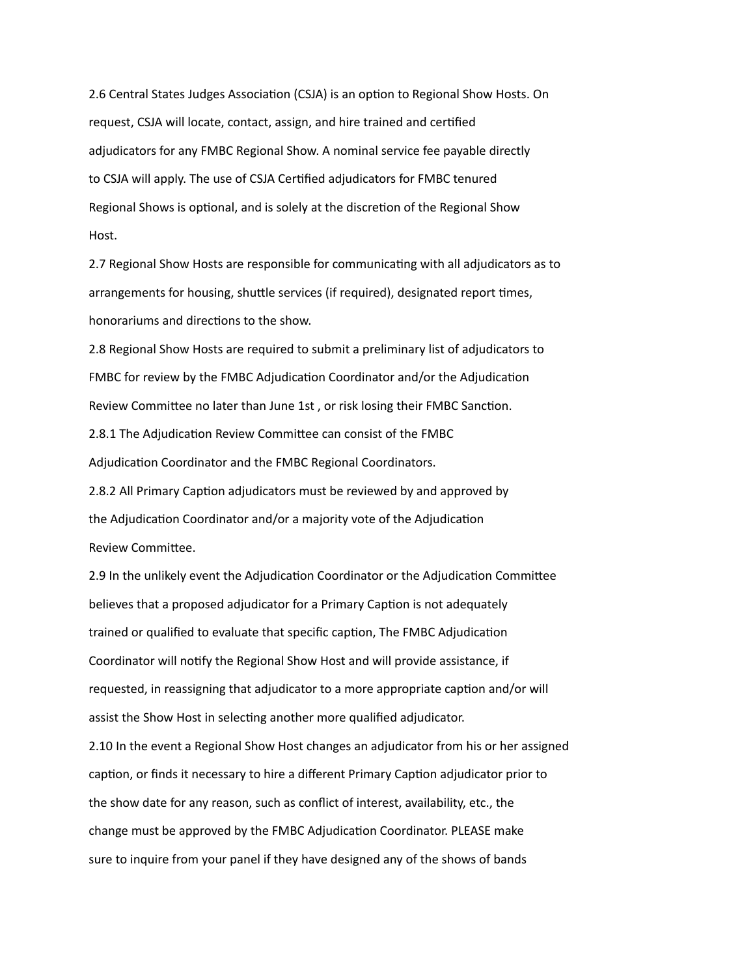2.6 Central States Judges Association (CSJA) is an option to Regional Show Hosts. On request, CSJA will locate, contact, assign, and hire trained and certified adjudicators for any FMBC Regional Show. A nominal service fee payable directly to CSJA will apply. The use of CSJA Certified adjudicators for FMBC tenured Regional Shows is optional, and is solely at the discretion of the Regional Show Host.

2.7 Regional Show Hosts are responsible for communicating with all adjudicators as to arrangements for housing, shuttle services (if required), designated report times, honorariums and directions to the show.

2.8 Regional Show Hosts are required to submit a preliminary list of adjudicators to FMBC for review by the FMBC Adjudication Coordinator and/or the Adjudication Review Committee no later than June 1st , or risk losing their FMBC Sanction. 2.8.1 The Adjudication Review Committee can consist of the FMBC Adjudication Coordinator and the FMBC Regional Coordinators.

2.8.2 All Primary Caption adjudicators must be reviewed by and approved by the Adjudication Coordinator and/or a majority vote of the Adjudication Review Committee.

2.9 In the unlikely event the Adjudication Coordinator or the Adjudication Committee believes that a proposed adjudicator for a Primary Caption is not adequately trained or qualified to evaluate that specific caption, The FMBC Adjudication Coordinator will notify the Regional Show Host and will provide assistance, if requested, in reassigning that adjudicator to a more appropriate caption and/or will assist the Show Host in selecting another more qualified adjudicator. 2.10 In the event a Regional Show Host changes an adjudicator from his or her assigned caption, or finds it necessary to hire a different Primary Caption adjudicator prior to the show date for any reason, such as conflict of interest, availability, etc., the

change must be approved by the FMBC Adjudication Coordinator. PLEASE make sure to inquire from your panel if they have designed any of the shows of bands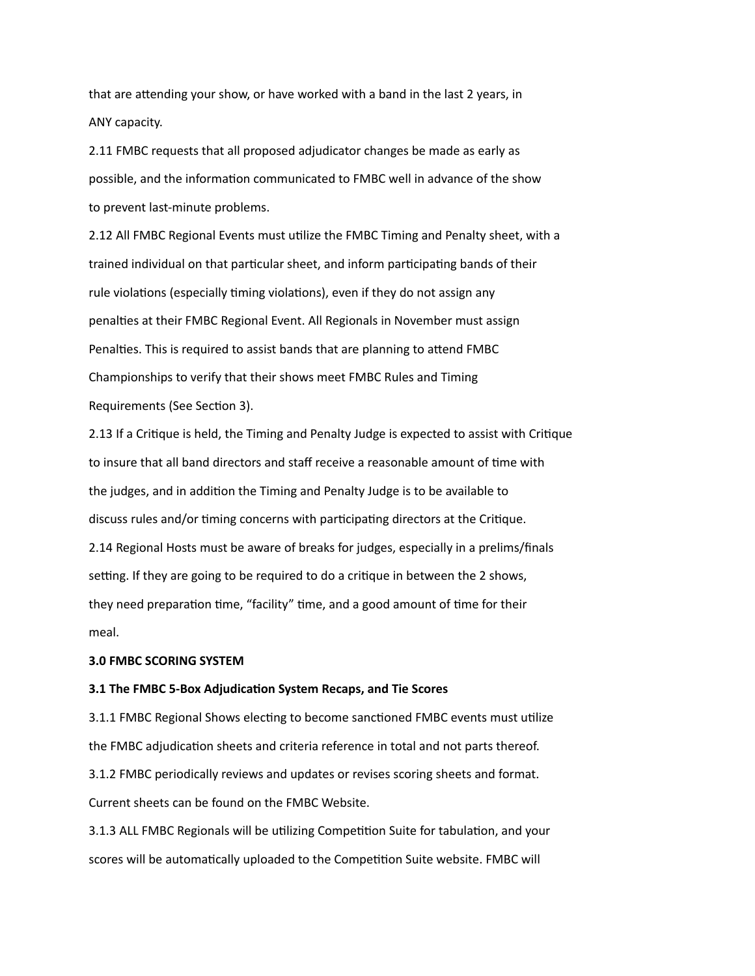that are attending your show, or have worked with a band in the last 2 years, in ANY capacity.

2.11 FMBC requests that all proposed adjudicator changes be made as early as possible, and the information communicated to FMBC well in advance of the show to prevent last-minute problems.

2.12 All FMBC Regional Events must utilize the FMBC Timing and Penalty sheet, with a trained individual on that particular sheet, and inform participating bands of their rule violations (especially timing violations), even if they do not assign any penalties at their FMBC Regional Event. All Regionals in November must assign Penalties. This is required to assist bands that are planning to attend FMBC Championships to verify that their shows meet FMBC Rules and Timing Requirements (See Section 3).

2.13 If a Critique is held, the Timing and Penalty Judge is expected to assist with Critique to insure that all band directors and staff receive a reasonable amount of time with the judges, and in addition the Timing and Penalty Judge is to be available to discuss rules and/or timing concerns with participating directors at the Critique. 2.14 Regional Hosts must be aware of breaks for judges, especially in a prelims/finals setting. If they are going to be required to do a critique in between the 2 shows, they need preparation time, "facility" time, and a good amount of time for their meal.

## **3.0 FMBC SCORING SYSTEM**

#### **3.1 The FMBC 5-Box Adjudication System Recaps, and Tie Scores**

3.1.1 FMBC Regional Shows electing to become sanctioned FMBC events must utilize the FMBC adjudication sheets and criteria reference in total and not parts thereof. 3.1.2 FMBC periodically reviews and updates or revises scoring sheets and format. Current sheets can be found on the FMBC Website.

3.1.3 ALL FMBC Regionals will be utilizing Competition Suite for tabulation, and your scores will be automatically uploaded to the Competition Suite website. FMBC will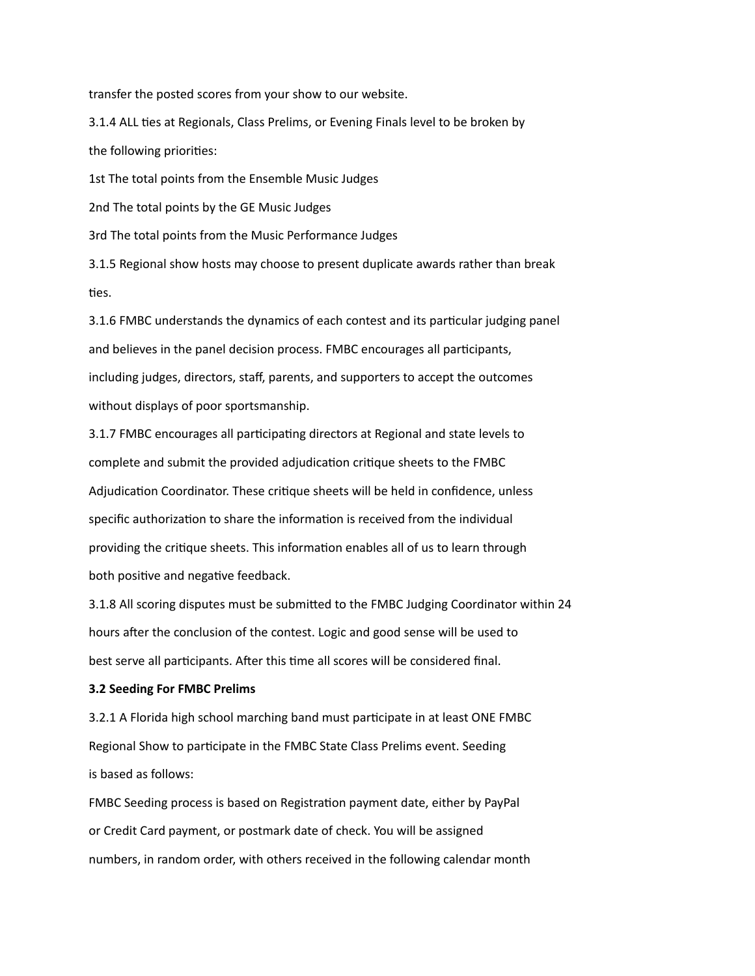transfer the posted scores from your show to our website.

3.1.4 ALL ties at Regionals, Class Prelims, or Evening Finals level to be broken by the following priorities:

1st The total points from the Ensemble Music Judges

2nd The total points by the GE Music Judges

3rd The total points from the Music Performance Judges

3.1.5 Regional show hosts may choose to present duplicate awards rather than break ties.

3.1.6 FMBC understands the dynamics of each contest and its particular judging panel and believes in the panel decision process. FMBC encourages all participants, including judges, directors, staff, parents, and supporters to accept the outcomes without displays of poor sportsmanship.

3.1.7 FMBC encourages all participating directors at Regional and state levels to complete and submit the provided adjudication critique sheets to the FMBC Adjudication Coordinator. These critique sheets will be held in confidence, unless specific authorization to share the information is received from the individual providing the critique sheets. This information enables all of us to learn through both positive and negative feedback.

3.1.8 All scoring disputes must be submitted to the FMBC Judging Coordinator within 24 hours after the conclusion of the contest. Logic and good sense will be used to best serve all participants. After this time all scores will be considered final.

#### **3.2 Seeding For FMBC Prelims**

3.2.1 A Florida high school marching band must participate in at least ONE FMBC Regional Show to participate in the FMBC State Class Prelims event. Seeding is based as follows:

FMBC Seeding process is based on Registration payment date, either by PayPal or Credit Card payment, or postmark date of check. You will be assigned numbers, in random order, with others received in the following calendar month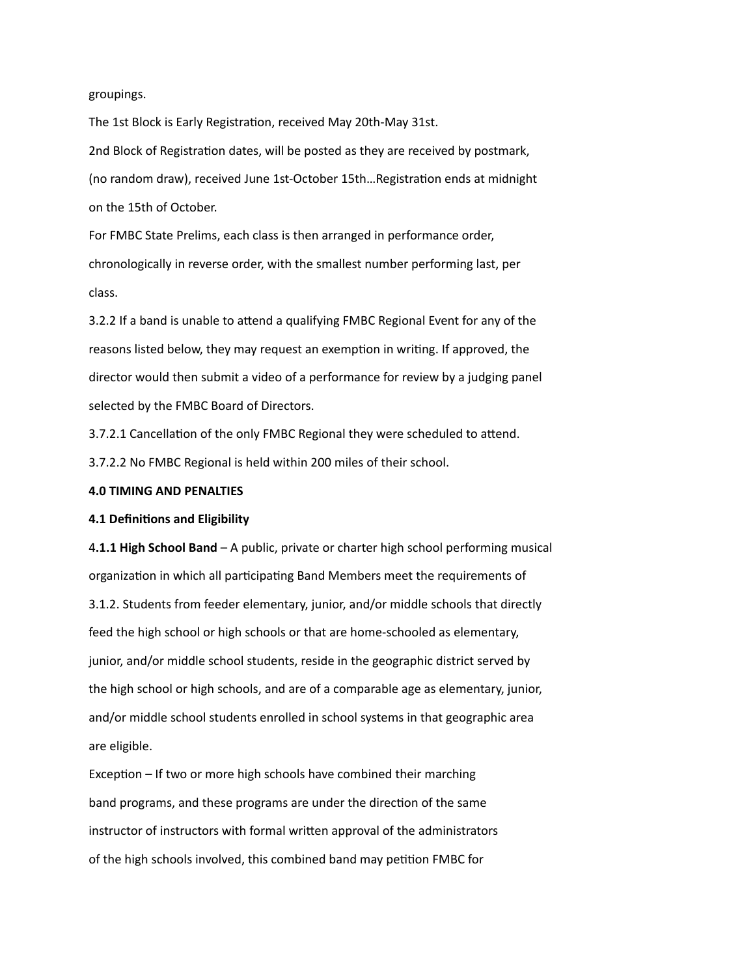### groupings.

The 1st Block is Early Registration, received May 20th-May 31st. 2nd Block of Registration dates, will be posted as they are received by postmark, (no random draw), received June 1st-October 15th…Registration ends at midnight on the 15th of October.

For FMBC State Prelims, each class is then arranged in performance order, chronologically in reverse order, with the smallest number performing last, per class.

3.2.2 If a band is unable to attend a qualifying FMBC Regional Event for any of the reasons listed below, they may request an exemption in writing. If approved, the director would then submit a video of a performance for review by a judging panel selected by the FMBC Board of Directors.

3.7.2.1 Cancellation of the only FMBC Regional they were scheduled to attend.

3.7.2.2 No FMBC Regional is held within 200 miles of their school.

## **4.0 TIMING AND PENALTIES**

#### **4.1 Definitions and Eligibility**

4**.1.1 High School Band** – A public, private or charter high school performing musical organization in which all participating Band Members meet the requirements of 3.1.2. Students from feeder elementary, junior, and/or middle schools that directly feed the high school or high schools or that are home-schooled as elementary, junior, and/or middle school students, reside in the geographic district served by the high school or high schools, and are of a comparable age as elementary, junior, and/or middle school students enrolled in school systems in that geographic area are eligible.

Exception – If two or more high schools have combined their marching band programs, and these programs are under the direction of the same instructor of instructors with formal written approval of the administrators of the high schools involved, this combined band may petition FMBC for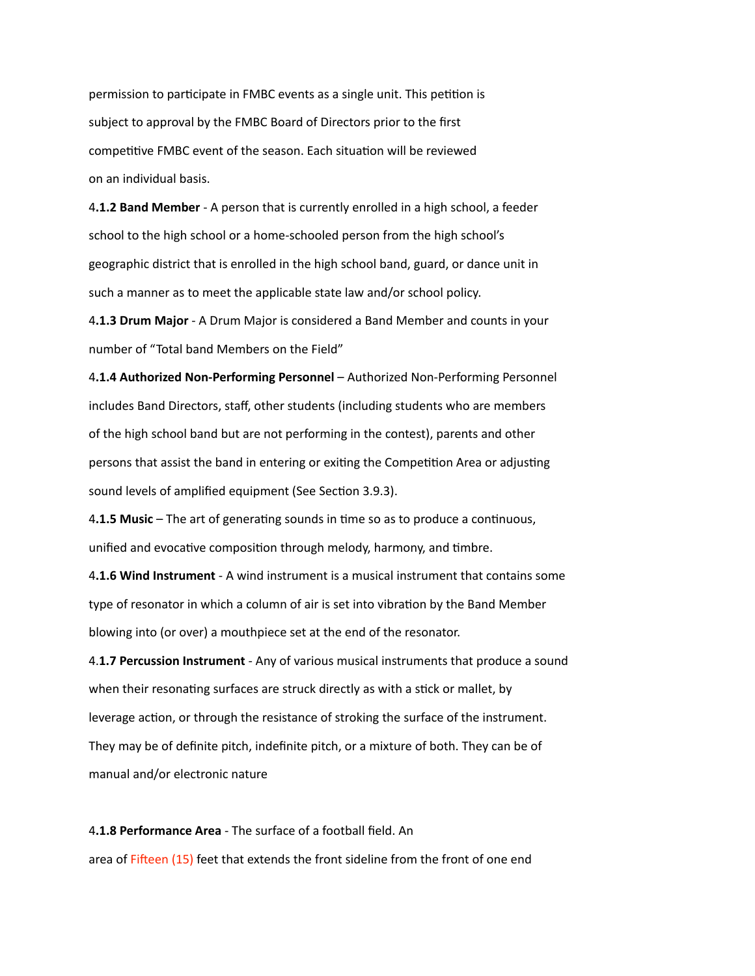permission to participate in FMBC events as a single unit. This petition is subject to approval by the FMBC Board of Directors prior to the first competitive FMBC event of the season. Each situation will be reviewed on an individual basis.

4**.1.2 Band Member** - A person that is currently enrolled in a high school, a feeder school to the high school or a home-schooled person from the high school's geographic district that is enrolled in the high school band, guard, or dance unit in such a manner as to meet the applicable state law and/or school policy.

4**.1.3 Drum Major** - A Drum Major is considered a Band Member and counts in your number of "Total band Members on the Field"

4**.1.4 Authorized Non-Performing Personnel** – Authorized Non-Performing Personnel includes Band Directors, staff, other students (including students who are members of the high school band but are not performing in the contest), parents and other persons that assist the band in entering or exiting the Competition Area or adjusting sound levels of amplified equipment (See Section 3.9.3).

4**.1.5 Music** – The art of generating sounds in time so as to produce a continuous, unified and evocative composition through melody, harmony, and timbre.

4**.1.6 Wind Instrument** - A wind instrument is a musical instrument that contains some type of resonator in which a column of air is set into vibration by the Band Member blowing into (or over) a mouthpiece set at the end of the resonator.

4.**1.7 Percussion Instrument** - Any of various musical instruments that produce a sound when their resonating surfaces are struck directly as with a stick or mallet, by leverage action, or through the resistance of stroking the surface of the instrument. They may be of definite pitch, indefinite pitch, or a mixture of both. They can be of manual and/or electronic nature

4**.1.8 Performance Area** - The surface of a football field. An area of Fifteen (15) feet that extends the front sideline from the front of one end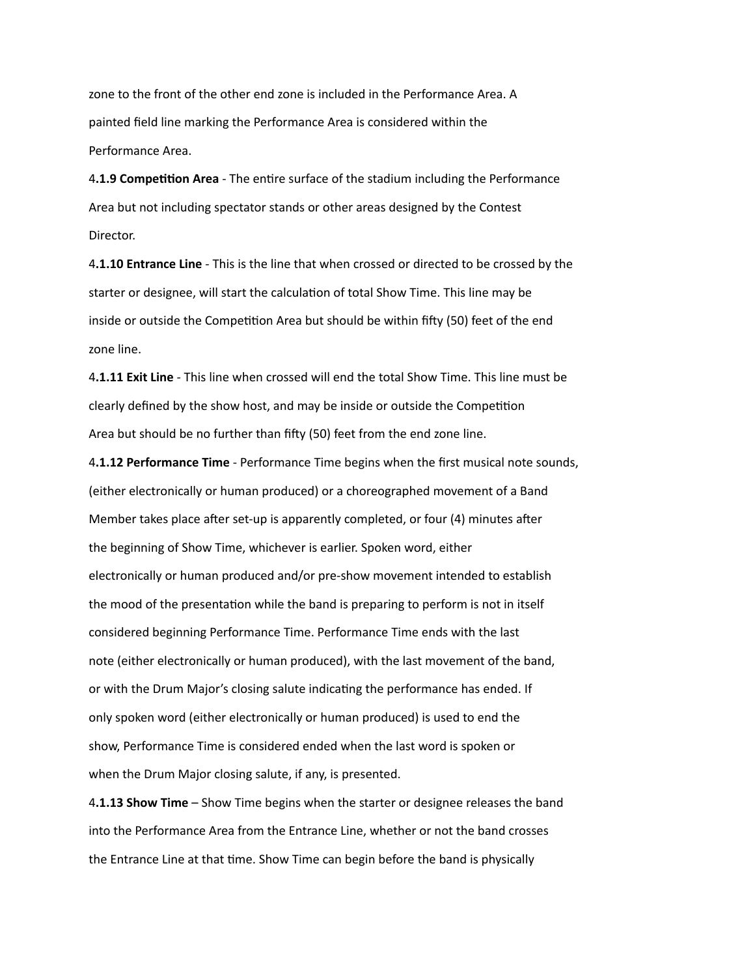zone to the front of the other end zone is included in the Performance Area. A painted field line marking the Performance Area is considered within the Performance Area.

4**.1.9 Competition Area** - The entire surface of the stadium including the Performance Area but not including spectator stands or other areas designed by the Contest Director.

4**.1.10 Entrance Line** - This is the line that when crossed or directed to be crossed by the starter or designee, will start the calculation of total Show Time. This line may be inside or outside the Competition Area but should be within fifty (50) feet of the end zone line.

4**.1.11 Exit Line** - This line when crossed will end the total Show Time. This line must be clearly defined by the show host, and may be inside or outside the Competition Area but should be no further than fifty (50) feet from the end zone line.

4**.1.12 Performance Time** - Performance Time begins when the first musical note sounds, (either electronically or human produced) or a choreographed movement of a Band Member takes place after set-up is apparently completed, or four (4) minutes after the beginning of Show Time, whichever is earlier. Spoken word, either electronically or human produced and/or pre-show movement intended to establish the mood of the presentation while the band is preparing to perform is not in itself considered beginning Performance Time. Performance Time ends with the last note (either electronically or human produced), with the last movement of the band, or with the Drum Major's closing salute indicating the performance has ended. If only spoken word (either electronically or human produced) is used to end the show, Performance Time is considered ended when the last word is spoken or when the Drum Major closing salute, if any, is presented.

4**.1.13 Show Time** – Show Time begins when the starter or designee releases the band into the Performance Area from the Entrance Line, whether or not the band crosses the Entrance Line at that time. Show Time can begin before the band is physically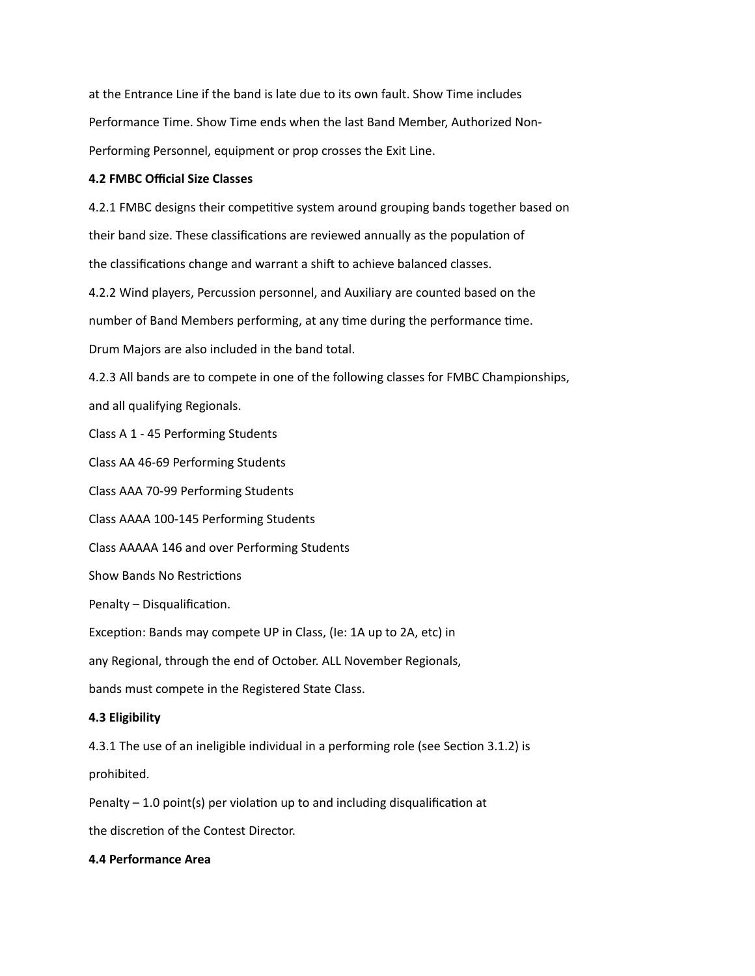at the Entrance Line if the band is late due to its own fault. Show Time includes Performance Time. Show Time ends when the last Band Member, Authorized Non-Performing Personnel, equipment or prop crosses the Exit Line.

## **4.2 FMBC Official Size Classes**

4.2.1 FMBC designs their competitive system around grouping bands together based on their band size. These classifications are reviewed annually as the population of the classifications change and warrant a shift to achieve balanced classes.

4.2.2 Wind players, Percussion personnel, and Auxiliary are counted based on the number of Band Members performing, at any time during the performance time. Drum Majors are also included in the band total.

4.2.3 All bands are to compete in one of the following classes for FMBC Championships, and all qualifying Regionals.

Class A 1 - 45 Performing Students

Class AA 46-69 Performing Students

Class AAA 70-99 Performing Students

Class AAAA 100-145 Performing Students

Class AAAAA 146 and over Performing Students

Show Bands No Restrictions

Penalty – Disqualification.

Exception: Bands may compete UP in Class, (Ie: 1A up to 2A, etc) in

any Regional, through the end of October. ALL November Regionals,

bands must compete in the Registered State Class.

# **4.3 Eligibility**

4.3.1 The use of an ineligible individual in a performing role (see Section 3.1.2) is prohibited.

Penalty – 1.0 point(s) per violation up to and including disqualification at

the discretion of the Contest Director.

## **4.4 Performance Area**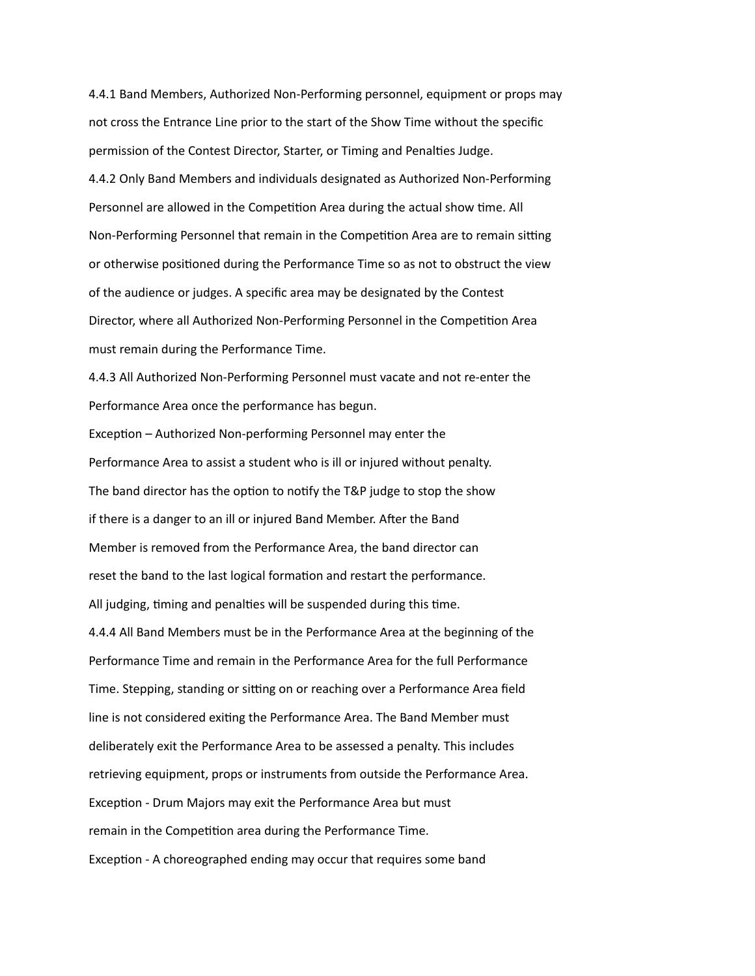4.4.1 Band Members, Authorized Non-Performing personnel, equipment or props may not cross the Entrance Line prior to the start of the Show Time without the specific permission of the Contest Director, Starter, or Timing and Penalties Judge. 4.4.2 Only Band Members and individuals designated as Authorized Non-Performing Personnel are allowed in the Competition Area during the actual show time. All Non-Performing Personnel that remain in the Competition Area are to remain sitting or otherwise positioned during the Performance Time so as not to obstruct the view of the audience or judges. A specific area may be designated by the Contest Director, where all Authorized Non-Performing Personnel in the Competition Area must remain during the Performance Time.

4.4.3 All Authorized Non-Performing Personnel must vacate and not re-enter the Performance Area once the performance has begun.

Exception – Authorized Non-performing Personnel may enter the Performance Area to assist a student who is ill or injured without penalty. The band director has the option to notify the T&P judge to stop the show if there is a danger to an ill or injured Band Member. After the Band Member is removed from the Performance Area, the band director can reset the band to the last logical formation and restart the performance. All judging, timing and penalties will be suspended during this time. 4.4.4 All Band Members must be in the Performance Area at the beginning of the Performance Time and remain in the Performance Area for the full Performance Time. Stepping, standing or sitting on or reaching over a Performance Area field line is not considered exiting the Performance Area. The Band Member must

deliberately exit the Performance Area to be assessed a penalty. This includes retrieving equipment, props or instruments from outside the Performance Area. Exception - Drum Majors may exit the Performance Area but must

remain in the Competition area during the Performance Time.

Exception - A choreographed ending may occur that requires some band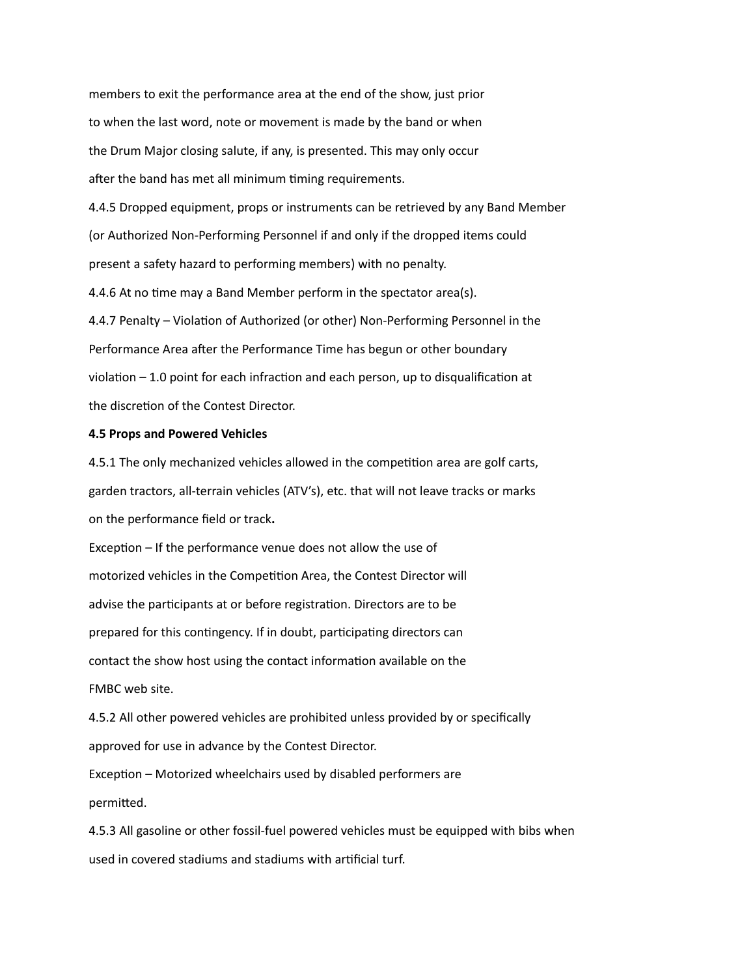members to exit the performance area at the end of the show, just prior to when the last word, note or movement is made by the band or when the Drum Major closing salute, if any, is presented. This may only occur after the band has met all minimum timing requirements.

4.4.5 Dropped equipment, props or instruments can be retrieved by any Band Member (or Authorized Non-Performing Personnel if and only if the dropped items could present a safety hazard to performing members) with no penalty.

4.4.6 At no time may a Band Member perform in the spectator area(s).

4.4.7 Penalty – Violation of Authorized (or other) Non-Performing Personnel in the Performance Area after the Performance Time has begun or other boundary violation – 1.0 point for each infraction and each person, up to disqualification at the discretion of the Contest Director.

## **4.5 Props and Powered Vehicles**

4.5.1 The only mechanized vehicles allowed in the competition area are golf carts, garden tractors, all-terrain vehicles (ATV's), etc. that will not leave tracks or marks on the performance field or track**.**

Exception – If the performance venue does not allow the use of motorized vehicles in the Competition Area, the Contest Director will advise the participants at or before registration. Directors are to be prepared for this contingency. If in doubt, participating directors can contact the show host using the contact information available on the FMBC web site.

4.5.2 All other powered vehicles are prohibited unless provided by or specifically approved for use in advance by the Contest Director.

Exception – Motorized wheelchairs used by disabled performers are permitted.

4.5.3 All gasoline or other fossil-fuel powered vehicles must be equipped with bibs when used in covered stadiums and stadiums with artificial turf.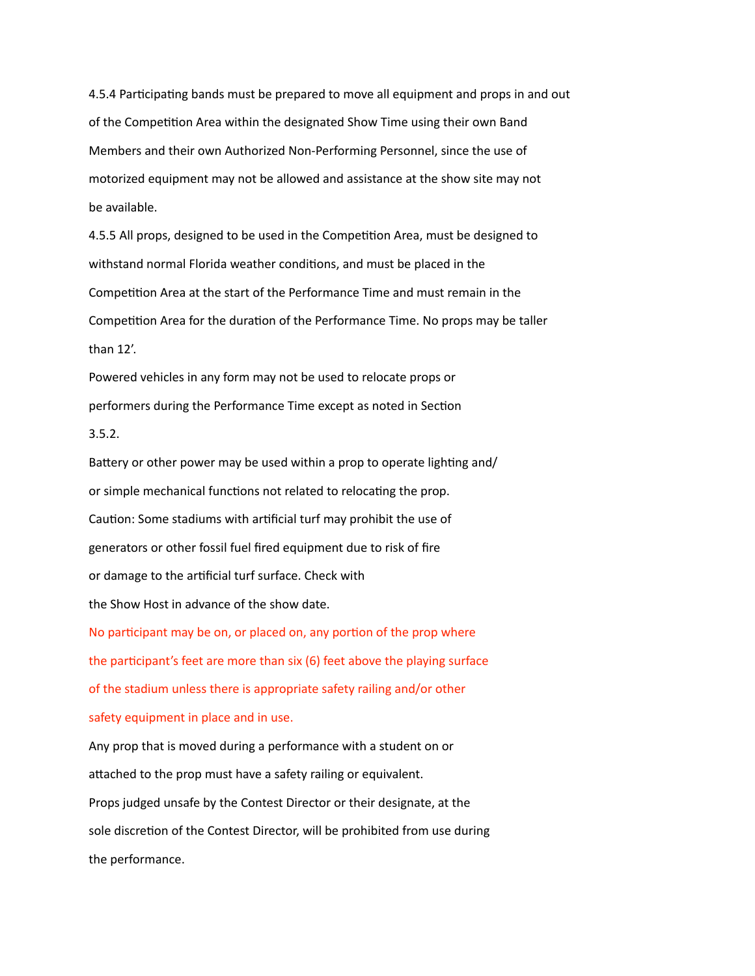4.5.4 Participating bands must be prepared to move all equipment and props in and out of the Competition Area within the designated Show Time using their own Band Members and their own Authorized Non-Performing Personnel, since the use of motorized equipment may not be allowed and assistance at the show site may not be available.

4.5.5 All props, designed to be used in the Competition Area, must be designed to withstand normal Florida weather conditions, and must be placed in the Competition Area at the start of the Performance Time and must remain in the Competition Area for the duration of the Performance Time. No props may be taller than 12'.

Powered vehicles in any form may not be used to relocate props or performers during the Performance Time except as noted in Section 3.5.2.

Battery or other power may be used within a prop to operate lighting and/ or simple mechanical functions not related to relocating the prop. Caution: Some stadiums with artificial turf may prohibit the use of generators or other fossil fuel fired equipment due to risk of fire or damage to the artificial turf surface. Check with the Show Host in advance of the show date.

No participant may be on, or placed on, any portion of the prop where the participant's feet are more than six (6) feet above the playing surface of the stadium unless there is appropriate safety railing and/or other safety equipment in place and in use. Any prop that is moved during a performance with a student on or attached to the prop must have a safety railing or equivalent. Props judged unsafe by the Contest Director or their designate, at the sole discretion of the Contest Director, will be prohibited from use during

the performance.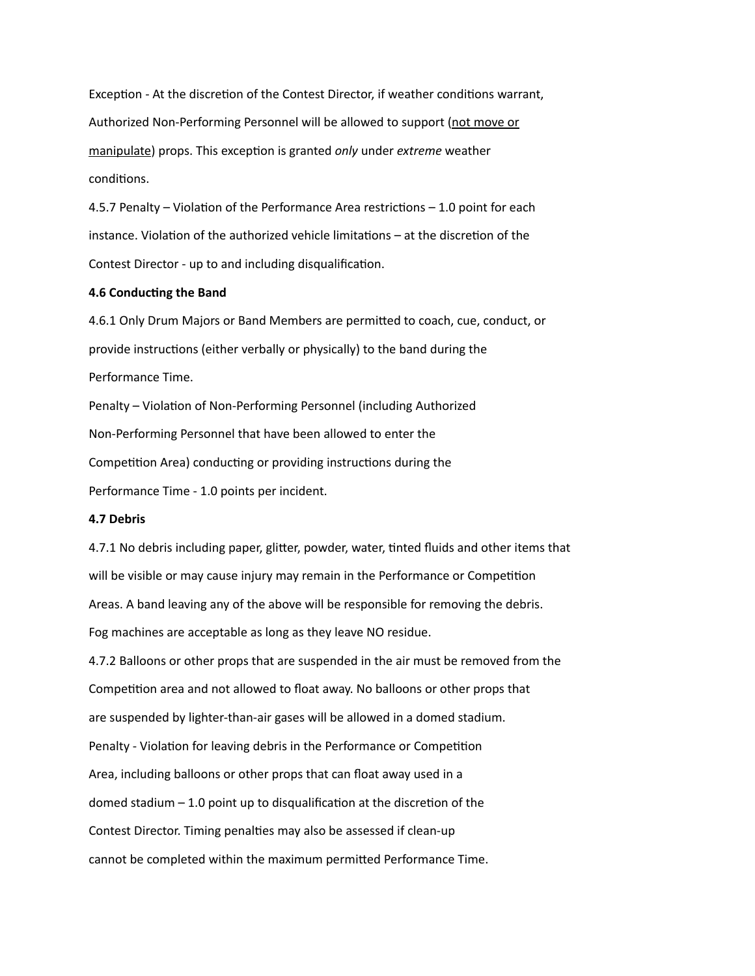Exception - At the discretion of the Contest Director, if weather conditions warrant, Authorized Non-Performing Personnel will be allowed to support (not move or manipulate) props. This exception is granted *only* under *extreme* weather conditions.

4.5.7 Penalty – Violation of the Performance Area restrictions – 1.0 point for each instance. Violation of the authorized vehicle limitations – at the discretion of the Contest Director - up to and including disqualification.

## **4.6 Conducting the Band**

4.6.1 Only Drum Majors or Band Members are permitted to coach, cue, conduct, or provide instructions (either verbally or physically) to the band during the Performance Time.

Penalty – Violation of Non-Performing Personnel (including Authorized Non-Performing Personnel that have been allowed to enter the Competition Area) conducting or providing instructions during the Performance Time - 1.0 points per incident.

#### **4.7 Debris**

4.7.1 No debris including paper, glitter, powder, water, tinted fluids and other items that will be visible or may cause injury may remain in the Performance or Competition Areas. A band leaving any of the above will be responsible for removing the debris. Fog machines are acceptable as long as they leave NO residue.

4.7.2 Balloons or other props that are suspended in the air must be removed from the Competition area and not allowed to float away. No balloons or other props that are suspended by lighter-than-air gases will be allowed in a domed stadium. Penalty - Violation for leaving debris in the Performance or Competition Area, including balloons or other props that can float away used in a domed stadium – 1.0 point up to disqualification at the discretion of the Contest Director. Timing penalties may also be assessed if clean-up cannot be completed within the maximum permitted Performance Time.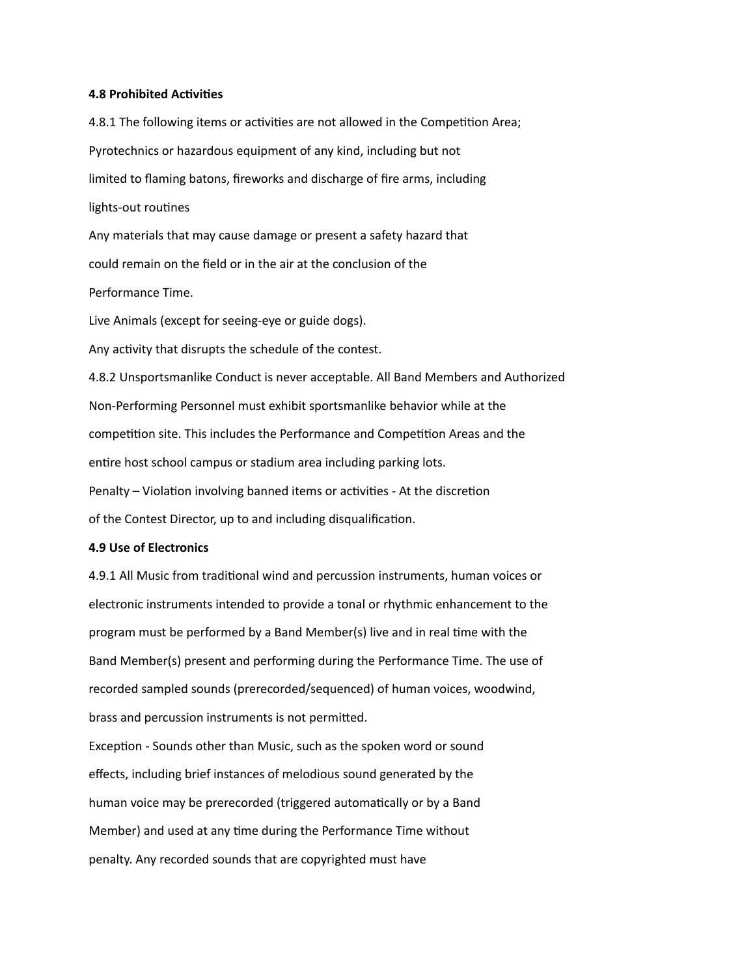### **4.8 Prohibited Activities**

4.8.1 The following items or activities are not allowed in the Competition Area; Pyrotechnics or hazardous equipment of any kind, including but not limited to flaming batons, fireworks and discharge of fire arms, including lights-out routines

Any materials that may cause damage or present a safety hazard that could remain on the field or in the air at the conclusion of the Performance Time.

Live Animals (except for seeing-eye or guide dogs).

Any activity that disrupts the schedule of the contest.

4.8.2 Unsportsmanlike Conduct is never acceptable. All Band Members and Authorized Non-Performing Personnel must exhibit sportsmanlike behavior while at the competition site. This includes the Performance and Competition Areas and the entire host school campus or stadium area including parking lots. Penalty – Violation involving banned items or activities - At the discretion of the Contest Director, up to and including disqualification.

#### **4.9 Use of Electronics**

4.9.1 All Music from traditional wind and percussion instruments, human voices or electronic instruments intended to provide a tonal or rhythmic enhancement to the program must be performed by a Band Member(s) live and in real time with the Band Member(s) present and performing during the Performance Time. The use of recorded sampled sounds (prerecorded/sequenced) of human voices, woodwind, brass and percussion instruments is not permitted.

Exception - Sounds other than Music, such as the spoken word or sound effects, including brief instances of melodious sound generated by the human voice may be prerecorded (triggered automatically or by a Band Member) and used at any time during the Performance Time without penalty. Any recorded sounds that are copyrighted must have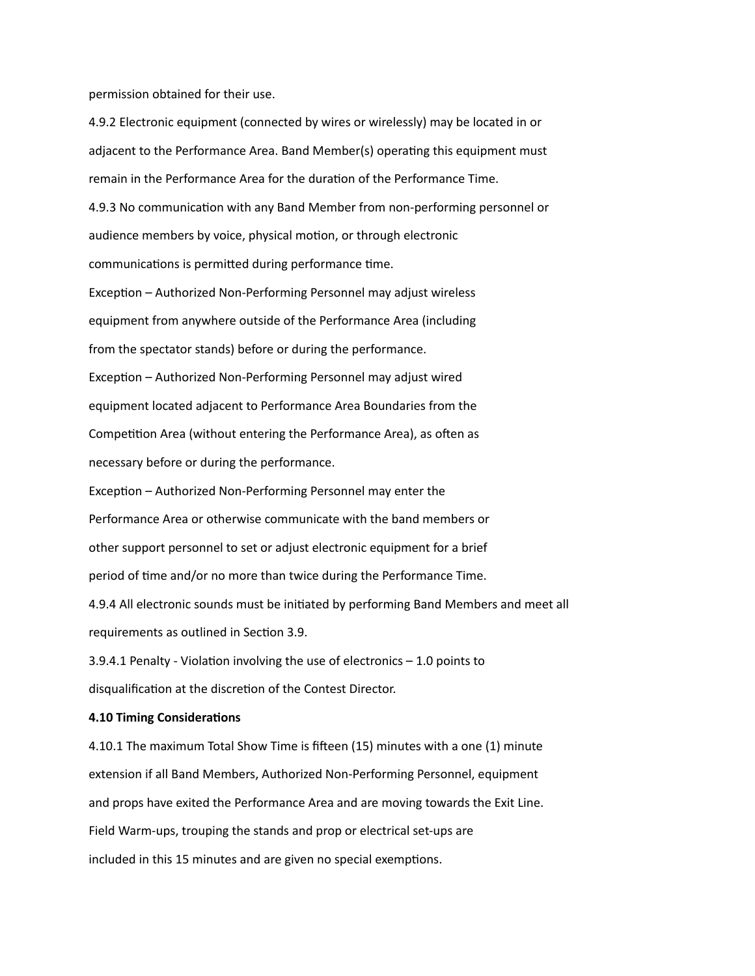permission obtained for their use.

4.9.2 Electronic equipment (connected by wires or wirelessly) may be located in or adjacent to the Performance Area. Band Member(s) operating this equipment must remain in the Performance Area for the duration of the Performance Time. 4.9.3 No communication with any Band Member from non-performing personnel or audience members by voice, physical motion, or through electronic communications is permitted during performance time. Exception – Authorized Non-Performing Personnel may adjust wireless equipment from anywhere outside of the Performance Area (including from the spectator stands) before or during the performance. Exception – Authorized Non-Performing Personnel may adjust wired equipment located adjacent to Performance Area Boundaries from the Competition Area (without entering the Performance Area), as often as necessary before or during the performance. Exception – Authorized Non-Performing Personnel may enter the

Performance Area or otherwise communicate with the band members or other support personnel to set or adjust electronic equipment for a brief period of time and/or no more than twice during the Performance Time. 4.9.4 All electronic sounds must be initiated by performing Band Members and meet all requirements as outlined in Section 3.9.

3.9.4.1 Penalty - Violation involving the use of electronics – 1.0 points to disqualification at the discretion of the Contest Director.

## **4.10 Timing Considerations**

4.10.1 The maximum Total Show Time is fifteen (15) minutes with a one (1) minute extension if all Band Members, Authorized Non-Performing Personnel, equipment and props have exited the Performance Area and are moving towards the Exit Line. Field Warm-ups, trouping the stands and prop or electrical set-ups are included in this 15 minutes and are given no special exemptions.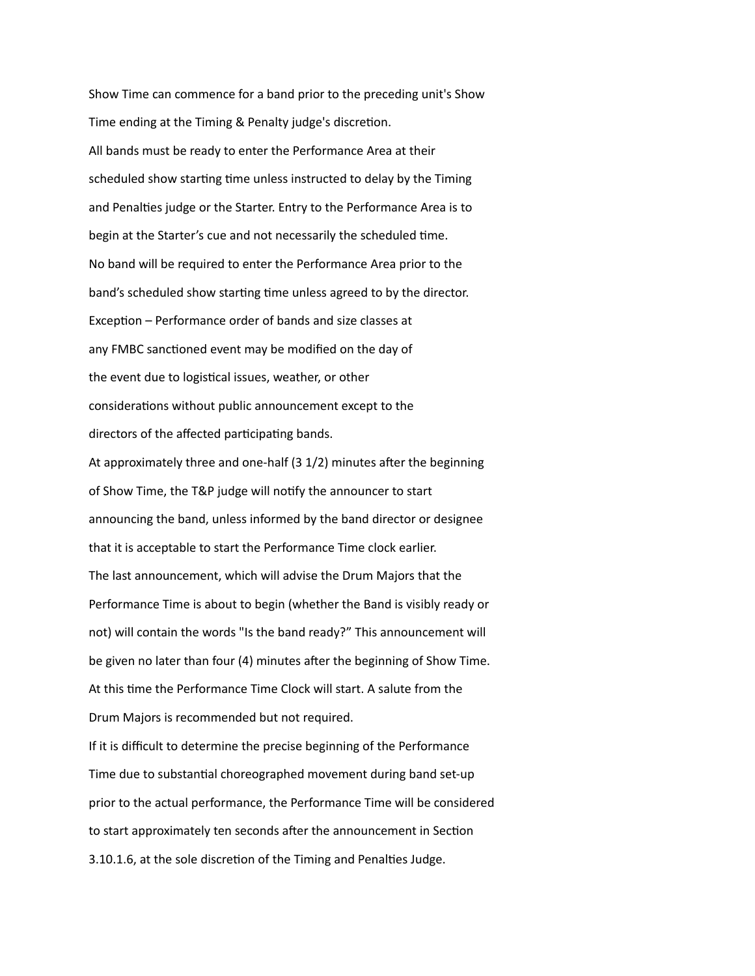Show Time can commence for a band prior to the preceding unit's Show Time ending at the Timing & Penalty judge's discretion. All bands must be ready to enter the Performance Area at their scheduled show starting time unless instructed to delay by the Timing and Penalties judge or the Starter. Entry to the Performance Area is to begin at the Starter's cue and not necessarily the scheduled time. No band will be required to enter the Performance Area prior to the band's scheduled show starting time unless agreed to by the director. Exception – Performance order of bands and size classes at any FMBC sanctioned event may be modified on the day of the event due to logistical issues, weather, or other considerations without public announcement except to the directors of the affected participating bands. At approximately three and one-half (3 1/2) minutes after the beginning of Show Time, the T&P judge will notify the announcer to start announcing the band, unless informed by the band director or designee that it is acceptable to start the Performance Time clock earlier. The last announcement, which will advise the Drum Majors that the Performance Time is about to begin (whether the Band is visibly ready or not) will contain the words "Is the band ready?" This announcement will be given no later than four (4) minutes after the beginning of Show Time. At this time the Performance Time Clock will start. A salute from the Drum Majors is recommended but not required. If it is difficult to determine the precise beginning of the Performance Time due to substantial choreographed movement during band set-up prior to the actual performance, the Performance Time will be considered to start approximately ten seconds after the announcement in Section 3.10.1.6, at the sole discretion of the Timing and Penalties Judge.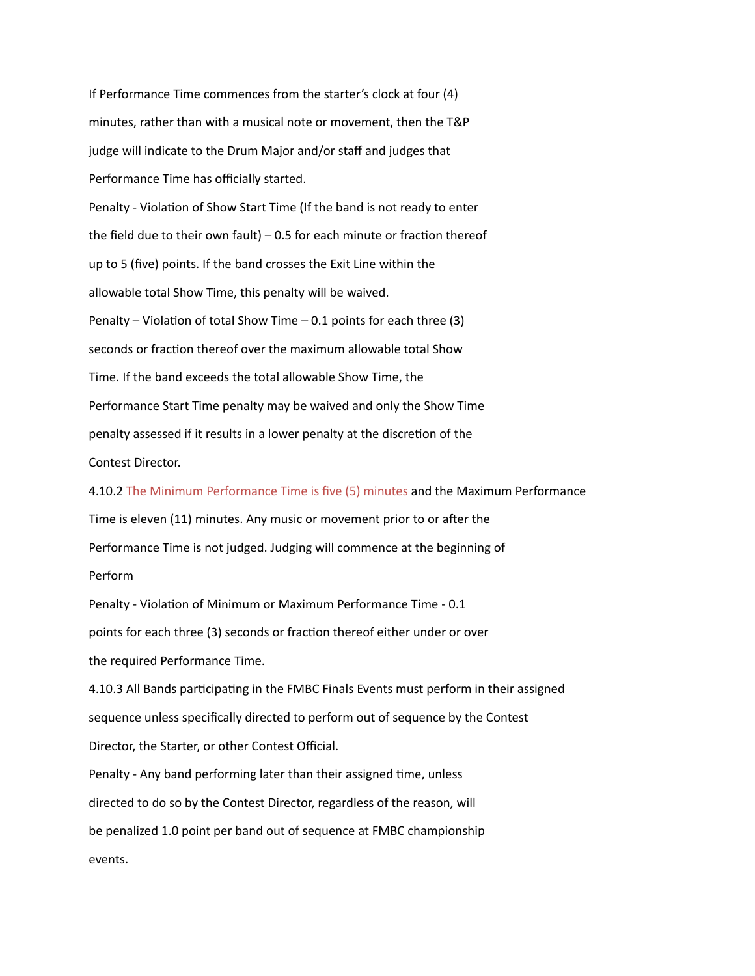If Performance Time commences from the starter's clock at four (4) minutes, rather than with a musical note or movement, then the T&P judge will indicate to the Drum Major and/or staff and judges that Performance Time has officially started.

Penalty - Violation of Show Start Time (If the band is not ready to enter the field due to their own fault) – 0.5 for each minute or fraction thereof up to 5 (five) points. If the band crosses the Exit Line within the allowable total Show Time, this penalty will be waived. Penalty – Violation of total Show Time – 0.1 points for each three  $(3)$ seconds or fraction thereof over the maximum allowable total Show Time. If the band exceeds the total allowable Show Time, the Performance Start Time penalty may be waived and only the Show Time penalty assessed if it results in a lower penalty at the discretion of the Contest Director.

4.10.2 The Minimum Performance Time is five (5) minutes and the Maximum Performance Time is eleven (11) minutes. Any music or movement prior to or after the Performance Time is not judged. Judging will commence at the beginning of Perform

Penalty - Violation of Minimum or Maximum Performance Time - 0.1 points for each three (3) seconds or fraction thereof either under or over the required Performance Time.

4.10.3 All Bands participating in the FMBC Finals Events must perform in their assigned sequence unless specifically directed to perform out of sequence by the Contest Director, the Starter, or other Contest Official.

Penalty - Any band performing later than their assigned time, unless directed to do so by the Contest Director, regardless of the reason, will be penalized 1.0 point per band out of sequence at FMBC championship events.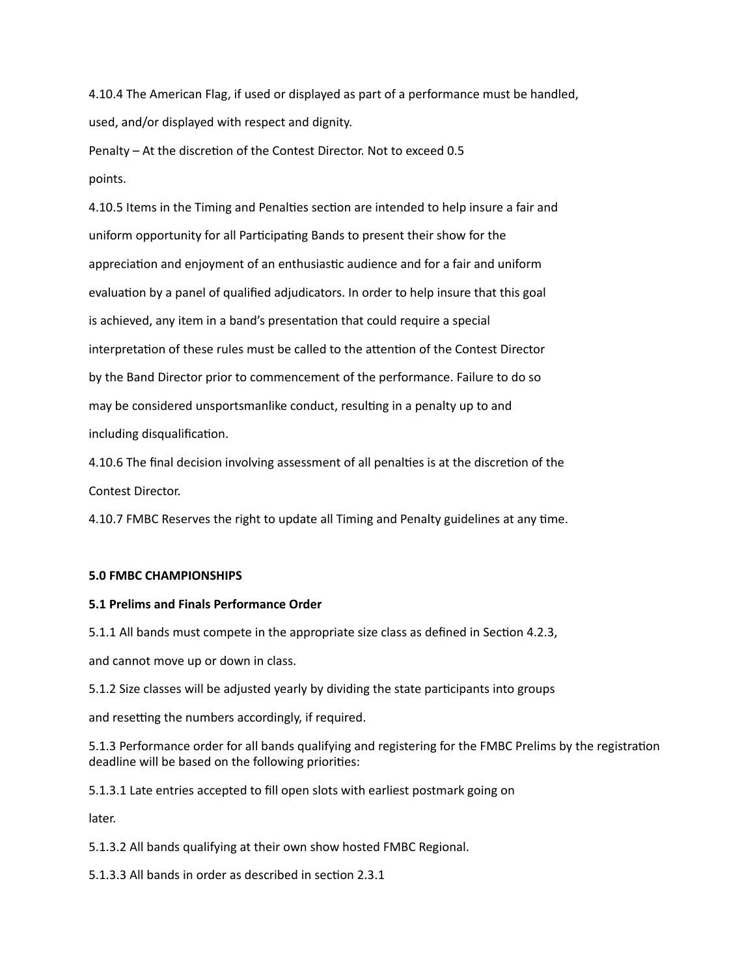4.10.4 The American Flag, if used or displayed as part of a performance must be handled, used, and/or displayed with respect and dignity.

Penalty – At the discretion of the Contest Director. Not to exceed 0.5 points.

4.10.5 Items in the Timing and Penalties section are intended to help insure a fair and uniform opportunity for all Participating Bands to present their show for the appreciation and enjoyment of an enthusiastic audience and for a fair and uniform evaluation by a panel of qualified adjudicators. In order to help insure that this goal is achieved, any item in a band's presentation that could require a special interpretation of these rules must be called to the attention of the Contest Director by the Band Director prior to commencement of the performance. Failure to do so may be considered unsportsmanlike conduct, resulting in a penalty up to and including disqualification.

4.10.6 The final decision involving assessment of all penalties is at the discretion of the Contest Director.

4.10.7 FMBC Reserves the right to update all Timing and Penalty guidelines at any time.

# **5.0 FMBC CHAMPIONSHIPS**

# **5.1 Prelims and Finals Performance Order**

5.1.1 All bands must compete in the appropriate size class as defined in Section 4.2.3,

and cannot move up or down in class.

5.1.2 Size classes will be adjusted yearly by dividing the state participants into groups

and resetting the numbers accordingly, if required.

5.1.3 Performance order for all bands qualifying and registering for the FMBC Prelims by the registration deadline will be based on the following priorities:

5.1.3.1 Late entries accepted to fill open slots with earliest postmark going on

later.

5.1.3.2 All bands qualifying at their own show hosted FMBC Regional.

5.1.3.3 All bands in order as described in section 2.3.1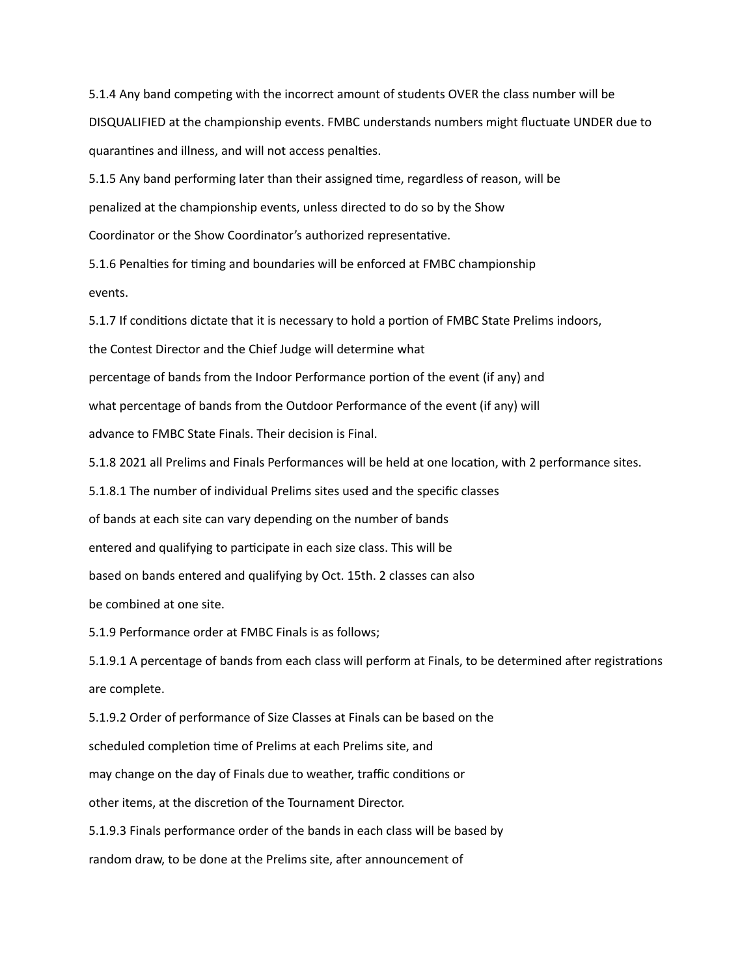5.1.4 Any band competing with the incorrect amount of students OVER the class number will be DISQUALIFIED at the championship events. FMBC understands numbers might fluctuate UNDER due to quarantines and illness, and will not access penalties.

5.1.5 Any band performing later than their assigned time, regardless of reason, will be penalized at the championship events, unless directed to do so by the Show Coordinator or the Show Coordinator's authorized representative.

5.1.6 Penalties for timing and boundaries will be enforced at FMBC championship events.

5.1.7 If conditions dictate that it is necessary to hold a portion of FMBC State Prelims indoors,

the Contest Director and the Chief Judge will determine what

percentage of bands from the Indoor Performance portion of the event (if any) and

what percentage of bands from the Outdoor Performance of the event (if any) will

advance to FMBC State Finals. Their decision is Final.

5.1.8 2021 all Prelims and Finals Performances will be held at one location, with 2 performance sites.

5.1.8.1 The number of individual Prelims sites used and the specific classes

of bands at each site can vary depending on the number of bands

entered and qualifying to participate in each size class. This will be

based on bands entered and qualifying by Oct. 15th. 2 classes can also

be combined at one site.

5.1.9 Performance order at FMBC Finals is as follows;

5.1.9.1 A percentage of bands from each class will perform at Finals, to be determined after registrations are complete.

5.1.9.2 Order of performance of Size Classes at Finals can be based on the scheduled completion time of Prelims at each Prelims site, and may change on the day of Finals due to weather, traffic conditions or other items, at the discretion of the Tournament Director. 5.1.9.3 Finals performance order of the bands in each class will be based by

random draw, to be done at the Prelims site, after announcement of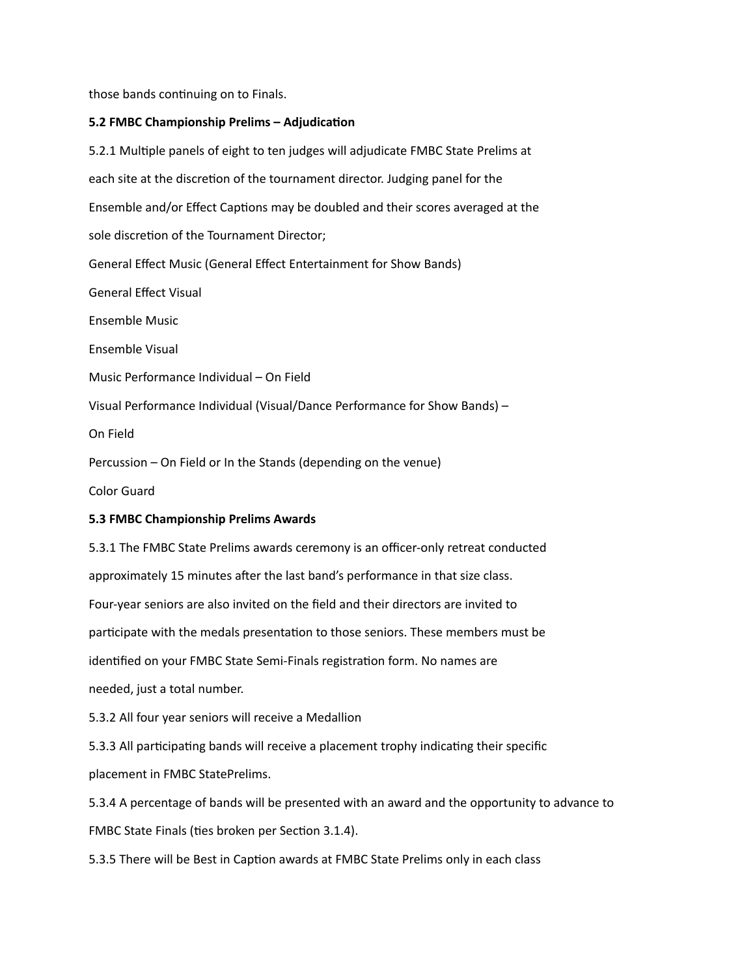those bands continuing on to Finals.

### **5.2 FMBC Championship Prelims – Adjudication**

5.2.1 Multiple panels of eight to ten judges will adjudicate FMBC State Prelims at each site at the discretion of the tournament director. Judging panel for the Ensemble and/or Effect Captions may be doubled and their scores averaged at the sole discretion of the Tournament Director; General Effect Music (General Effect Entertainment for Show Bands) General Effect Visual Ensemble Music Ensemble Visual Music Performance Individual – On Field Visual Performance Individual (Visual/Dance Performance for Show Bands) – On Field Percussion – On Field or In the Stands (depending on the venue) Color Guard **5.3 FMBC Championship Prelims Awards**

5.3.1 The FMBC State Prelims awards ceremony is an officer-only retreat conducted approximately 15 minutes after the last band's performance in that size class. Four-year seniors are also invited on the field and their directors are invited to participate with the medals presentation to those seniors. These members must be identified on your FMBC State Semi-Finals registration form. No names are needed, just a total number.

5.3.2 All four year seniors will receive a Medallion

5.3.3 All participating bands will receive a placement trophy indicating their specific placement in FMBC StatePrelims.

5.3.4 A percentage of bands will be presented with an award and the opportunity to advance to FMBC State Finals (ties broken per Section 3.1.4).

5.3.5 There will be Best in Caption awards at FMBC State Prelims only in each class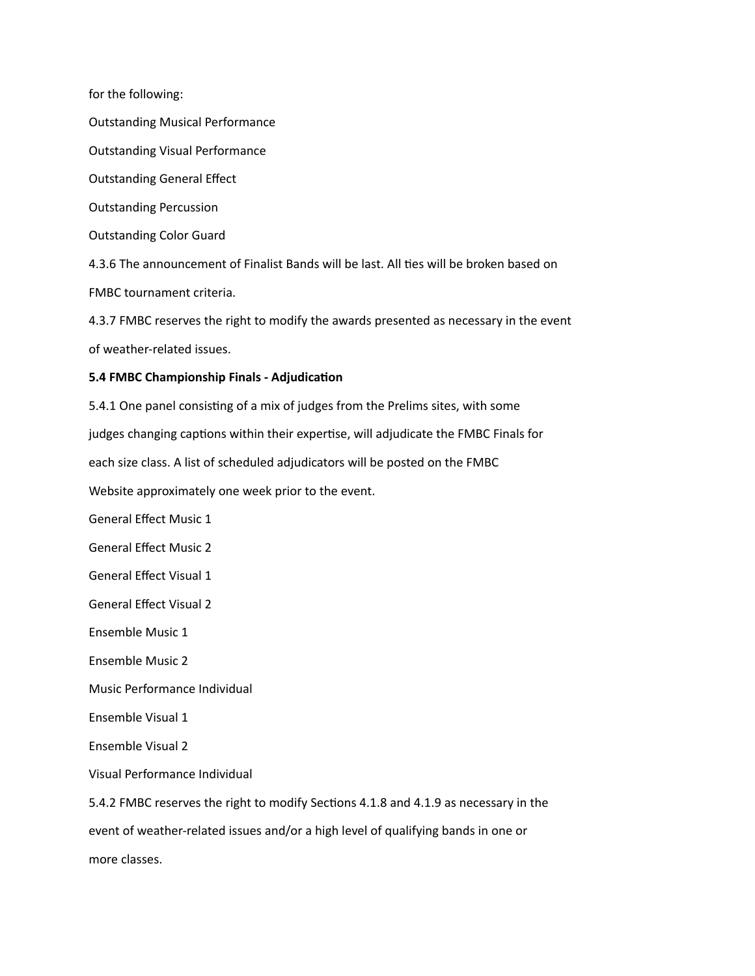for the following:

Outstanding Musical Performance

Outstanding Visual Performance

Outstanding General Effect

Outstanding Percussion

Outstanding Color Guard

4.3.6 The announcement of Finalist Bands will be last. All ties will be broken based on

FMBC tournament criteria.

4.3.7 FMBC reserves the right to modify the awards presented as necessary in the event of weather-related issues.

### **5.4 FMBC Championship Finals - Adjudication**

5.4.1 One panel consisting of a mix of judges from the Prelims sites, with some

judges changing captions within their expertise, will adjudicate the FMBC Finals for

each size class. A list of scheduled adjudicators will be posted on the FMBC

Website approximately one week prior to the event.

General Effect Music 1

General Effect Music 2

General Effect Visual 1

General Effect Visual 2

Ensemble Music 1

Ensemble Music 2

Music Performance Individual

Ensemble Visual 1

Ensemble Visual 2

Visual Performance Individual

5.4.2 FMBC reserves the right to modify Sections 4.1.8 and 4.1.9 as necessary in the event of weather-related issues and/or a high level of qualifying bands in one or more classes.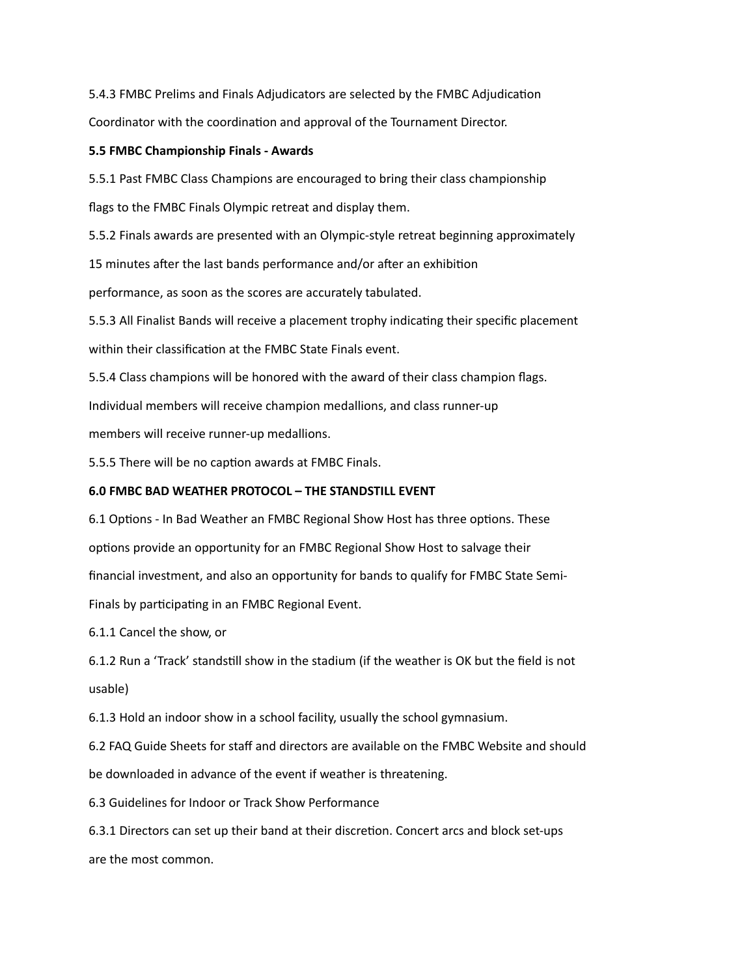5.4.3 FMBC Prelims and Finals Adjudicators are selected by the FMBC Adjudication Coordinator with the coordination and approval of the Tournament Director.

## **5.5 FMBC Championship Finals - Awards**

5.5.1 Past FMBC Class Champions are encouraged to bring their class championship

flags to the FMBC Finals Olympic retreat and display them.

5.5.2 Finals awards are presented with an Olympic-style retreat beginning approximately

15 minutes after the last bands performance and/or after an exhibition

performance, as soon as the scores are accurately tabulated.

5.5.3 All Finalist Bands will receive a placement trophy indicating their specific placement within their classification at the FMBC State Finals event.

5.5.4 Class champions will be honored with the award of their class champion flags.

Individual members will receive champion medallions, and class runner-up

members will receive runner-up medallions.

5.5.5 There will be no caption awards at FMBC Finals.

## **6.0 FMBC BAD WEATHER PROTOCOL – THE STANDSTILL EVENT**

6.1 Options - In Bad Weather an FMBC Regional Show Host has three options. These options provide an opportunity for an FMBC Regional Show Host to salvage their financial investment, and also an opportunity for bands to qualify for FMBC State Semi-Finals by participating in an FMBC Regional Event.

6.1.1 Cancel the show, or

6.1.2 Run a 'Track' standstill show in the stadium (if the weather is OK but the field is not usable)

6.1.3 Hold an indoor show in a school facility, usually the school gymnasium.

6.2 FAQ Guide Sheets for staff and directors are available on the FMBC Website and should be downloaded in advance of the event if weather is threatening.

6.3 Guidelines for Indoor or Track Show Performance

6.3.1 Directors can set up their band at their discretion. Concert arcs and block set-ups are the most common.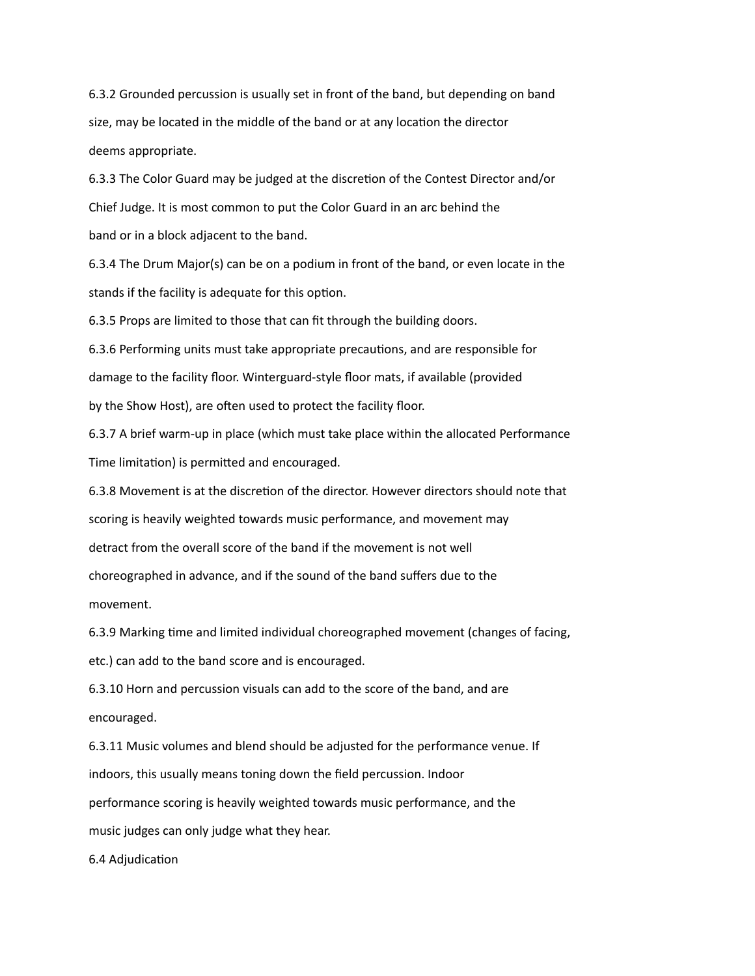6.3.2 Grounded percussion is usually set in front of the band, but depending on band size, may be located in the middle of the band or at any location the director deems appropriate.

6.3.3 The Color Guard may be judged at the discretion of the Contest Director and/or Chief Judge. It is most common to put the Color Guard in an arc behind the band or in a block adjacent to the band.

6.3.4 The Drum Major(s) can be on a podium in front of the band, or even locate in the stands if the facility is adequate for this option.

6.3.5 Props are limited to those that can fit through the building doors.

6.3.6 Performing units must take appropriate precautions, and are responsible for damage to the facility floor. Winterguard-style floor mats, if available (provided by the Show Host), are often used to protect the facility floor.

6.3.7 A brief warm-up in place (which must take place within the allocated Performance Time limitation) is permitted and encouraged.

6.3.8 Movement is at the discretion of the director. However directors should note that scoring is heavily weighted towards music performance, and movement may detract from the overall score of the band if the movement is not well choreographed in advance, and if the sound of the band suffers due to the movement.

6.3.9 Marking time and limited individual choreographed movement (changes of facing, etc.) can add to the band score and is encouraged.

6.3.10 Horn and percussion visuals can add to the score of the band, and are encouraged.

6.3.11 Music volumes and blend should be adjusted for the performance venue. If indoors, this usually means toning down the field percussion. Indoor performance scoring is heavily weighted towards music performance, and the music judges can only judge what they hear.

6.4 Adjudication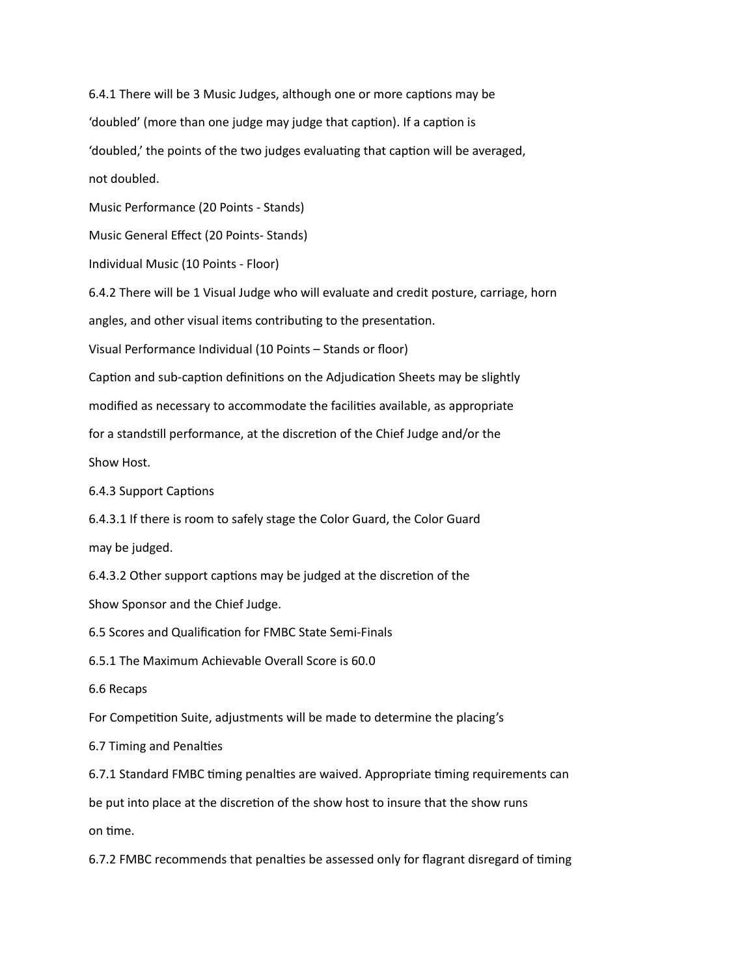6.4.1 There will be 3 Music Judges, although one or more captions may be 'doubled' (more than one judge may judge that caption). If a caption is 'doubled,' the points of the two judges evaluating that caption will be averaged, not doubled.

Music Performance (20 Points - Stands)

Music General Effect (20 Points- Stands)

Individual Music (10 Points - Floor)

6.4.2 There will be 1 Visual Judge who will evaluate and credit posture, carriage, horn angles, and other visual items contributing to the presentation.

Visual Performance Individual (10 Points – Stands or floor)

Caption and sub-caption definitions on the Adjudication Sheets may be slightly

modified as necessary to accommodate the facilities available, as appropriate

for a standstill performance, at the discretion of the Chief Judge and/or the

Show Host.

6.4.3 Support Captions

6.4.3.1 If there is room to safely stage the Color Guard, the Color Guard

may be judged.

6.4.3.2 Other support captions may be judged at the discretion of the

Show Sponsor and the Chief Judge.

6.5 Scores and Qualification for FMBC State Semi-Finals

6.5.1 The Maximum Achievable Overall Score is 60.0

6.6 Recaps

For Competition Suite, adjustments will be made to determine the placing's

6.7 Timing and Penalties

6.7.1 Standard FMBC timing penalties are waived. Appropriate timing requirements can

be put into place at the discretion of the show host to insure that the show runs

on time.

6.7.2 FMBC recommends that penalties be assessed only for flagrant disregard of timing